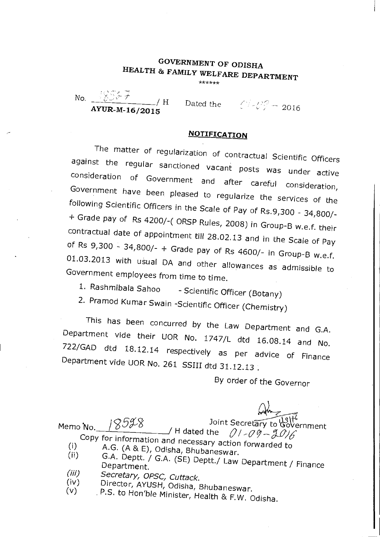## GOVERNMENT OF ODISHA HEALTH & FAMILY WELFARE DEPARTMENT

\*\*\*\*\*\*

No.  $\frac{322+7}{1}$  H AYUR-M-16/2015

Dated the  $\mathbb{C}/\sqrt{3} = 2016$ 

## **NOTIFICATION**

The matter of regularization of contractual Scientific Officers against the regular sanctioned vacant posts was under active consideration of Government and after careful consideration, Government have been pleased to regularize the services of the following Scientific Officers in the Scale of Pay of Rs.9,300 - 34,800/- + Grade pay of Rs 4200/-( ORSP Rules, 2008) in Group-B w.e.f. their contractual date of appointment till 28.02.13 and in the Scale of Pay of Rs 9,300 - 34,800/- + Grade pay of Rs 4600/- in Group-B w.e.f. 01.03.2013 with usual DA and other allowances as admissible to Government employees from time to time.

1. Rashmibala Sahoo - Scientific Officer (Botany)

2. Pramod Kumar Swain -Scientific Officer (Chemistry)

This has been concurred by the Law Department and G.A. Department vide their UOR No. 1747/L dtd 16.08.14 and No. 722/GAD dtd 18.12.14 respectively as per advice of Finance Department vide UOR No. 261 SSIII dtd 31.12.13 .

By order of the Governor

 $\omega$ Joint Secretary to Government Memo No.  $18978$  H dated the Copy for information and necessary action forwarded to (i)  $A.G. (A & E), Odisha, Bhubaneswar.$ <br>(ii)  $G.A. Dentt / G.A. (SE) B.$ G.A. Deptt. / G.A. (SE) Deptt./ Law Department / Finance Department.  $(iii)$ Secretary, OPSC, Cuttack. (iv) Director, AYUSH, Odisha, Bhubaneswar.<br>(v) P.S. to Hon'ble Minister, U. U. C.

P.S. to Hon'ble Minister, Health & F.W. Odisha.